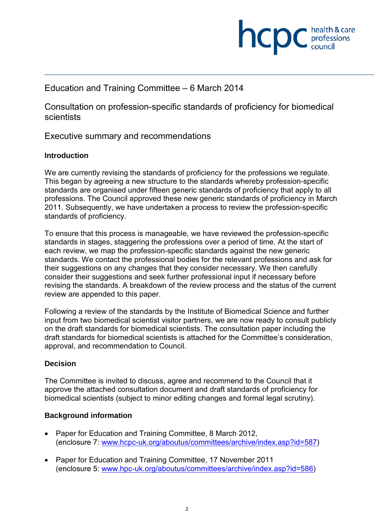

# Education and Training Committee – 6 March 2014

Consultation on profession-specific standards of proficiency for biomedical **scientists** 

Executive summary and recommendations

#### **Introduction**

We are currently revising the standards of proficiency for the professions we regulate. This began by agreeing a new structure to the standards whereby profession-specific standards are organised under fifteen generic standards of proficiency that apply to all professions. The Council approved these new generic standards of proficiency in March 2011. Subsequently, we have undertaken a process to review the profession-specific standards of proficiency.

To ensure that this process is manageable, we have reviewed the profession-specific standards in stages, staggering the professions over a period of time. At the start of each review, we map the profession-specific standards against the new generic standards. We contact the professional bodies for the relevant professions and ask for their suggestions on any changes that they consider necessary. We then carefully consider their suggestions and seek further professional input if necessary before revising the standards. A breakdown of the review process and the status of the current review are appended to this paper.

Following a review of the standards by the Institute of Biomedical Science and further input from two biomedical scientist visitor partners, we are now ready to consult publicly on the draft standards for biomedical scientists. The consultation paper including the draft standards for biomedical scientists is attached for the Committee's consideration, approval, and recommendation to Council.

### **Decision**

The Committee is invited to discuss, agree and recommend to the Council that it approve the attached consultation document and draft standards of proficiency for biomedical scientists (subject to minor editing changes and formal legal scrutiny).

### **Background information**

- Paper for Education and Training Committee, 8 March 2012, (enclosure 7: www.hcpc-uk.org/aboutus/committees/archive/index.asp?id=587)
- Paper for Education and Training Committee, 17 November 2011 (enclosure 5: www.hpc-uk.org/aboutus/committees/archive/index.asp?id=586)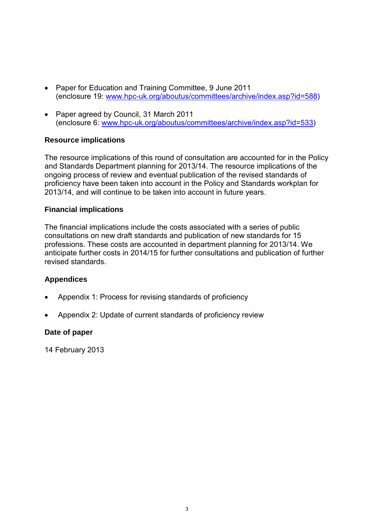- Paper for Education and Training Committee, 9 June 2011 (enclosure 19: www.hpc-uk.org/aboutus/committees/archive/index.asp?id=588)
- Paper agreed by Council, 31 March 2011 (enclosure 6: www.hpc-uk.org/aboutus/committees/archive/index.asp?id=533)

### **Resource implications**

The resource implications of this round of consultation are accounted for in the Policy and Standards Department planning for 2013/14. The resource implications of the ongoing process of review and eventual publication of the revised standards of proficiency have been taken into account in the Policy and Standards workplan for 2013/14, and will continue to be taken into account in future years.

#### **Financial implications**

The financial implications include the costs associated with a series of public consultations on new draft standards and publication of new standards for 15 professions. These costs are accounted in department planning for 2013/14. We anticipate further costs in 2014/15 for further consultations and publication of further revised standards.

#### **Appendices**

- Appendix 1: Process for revising standards of proficiency
- Appendix 2: Update of current standards of proficiency review

#### **Date of paper**

14 February 2013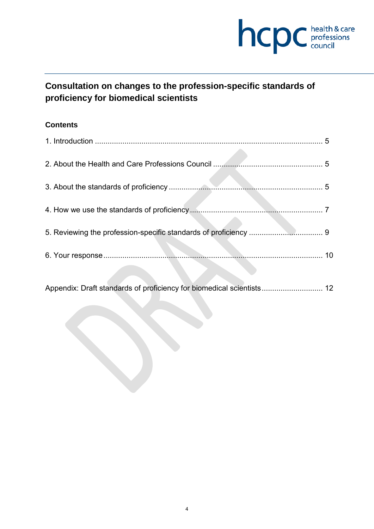

# **Consultation on changes to the profession-specific standards of proficiency for biomedical scientists**

## **Contents**

|                                                                    | $5^{\circ}$ |
|--------------------------------------------------------------------|-------------|
|                                                                    |             |
| 5                                                                  |             |
|                                                                    |             |
|                                                                    |             |
|                                                                    | 10          |
| Appendix: Draft standards of proficiency for biomedical scientists | 12          |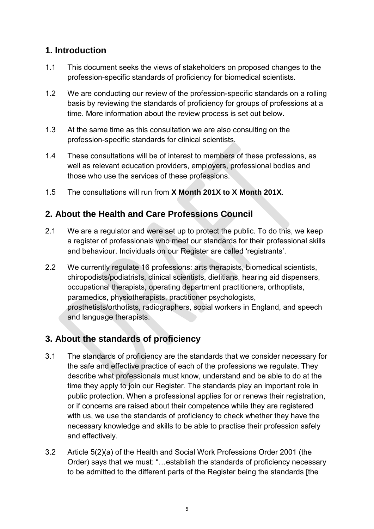# **1. Introduction**

- 1.1 This document seeks the views of stakeholders on proposed changes to the profession-specific standards of proficiency for biomedical scientists.
- 1.2 We are conducting our review of the profession-specific standards on a rolling basis by reviewing the standards of proficiency for groups of professions at a time. More information about the review process is set out below.
- 1.3 At the same time as this consultation we are also consulting on the profession-specific standards for clinical scientists.
- 1.4 These consultations will be of interest to members of these professions, as well as relevant education providers, employers, professional bodies and those who use the services of these professions.
- 1.5 The consultations will run from **X Month 201X to X Month 201X**.

# **2. About the Health and Care Professions Council**

- 2.1 We are a regulator and were set up to protect the public. To do this, we keep a register of professionals who meet our standards for their professional skills and behaviour. Individuals on our Register are called 'registrants'.
- 2.2 We currently regulate 16 professions: arts therapists, biomedical scientists, chiropodists/podiatrists, clinical scientists, dietitians, hearing aid dispensers, occupational therapists, operating department practitioners, orthoptists, paramedics, physiotherapists, practitioner psychologists, prosthetists/orthotists, radiographers, social workers in England, and speech and language therapists.

# **3. About the standards of proficiency**

- 3.1 The standards of proficiency are the standards that we consider necessary for the safe and effective practice of each of the professions we regulate. They describe what professionals must know, understand and be able to do at the time they apply to join our Register. The standards play an important role in public protection. When a professional applies for or renews their registration, or if concerns are raised about their competence while they are registered with us, we use the standards of proficiency to check whether they have the necessary knowledge and skills to be able to practise their profession safely and effectively.
- 3.2 Article 5(2)(a) of the Health and Social Work Professions Order 2001 (the Order) says that we must: "…establish the standards of proficiency necessary to be admitted to the different parts of the Register being the standards [the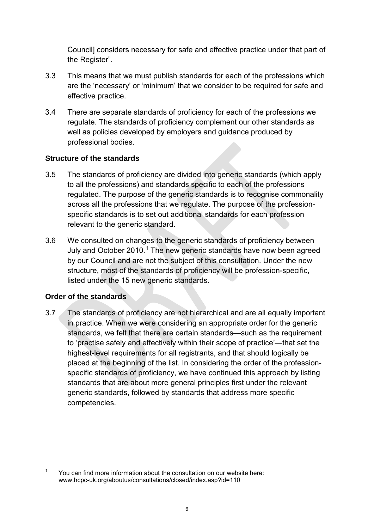Council] considers necessary for safe and effective practice under that part of the Register".

- 3.3 This means that we must publish standards for each of the professions which are the 'necessary' or 'minimum' that we consider to be required for safe and effective practice.
- 3.4 There are separate standards of proficiency for each of the professions we regulate. The standards of proficiency complement our other standards as well as policies developed by employers and guidance produced by professional bodies.

### **Structure of the standards**

- 3.5 The standards of proficiency are divided into generic standards (which apply to all the professions) and standards specific to each of the professions regulated. The purpose of the generic standards is to recognise commonality across all the professions that we regulate. The purpose of the professionspecific standards is to set out additional standards for each profession relevant to the generic standard.
- 3.6 We consulted on changes to the generic standards of proficiency between July and October 2010.<sup>1</sup> The new generic standards have now been agreed by our Council and are not the subject of this consultation. Under the new structure, most of the standards of proficiency will be profession-specific, listed under the 15 new generic standards.

# **Order of the standards**

3.7 The standards of proficiency are not hierarchical and are all equally important in practice. When we were considering an appropriate order for the generic standards, we felt that there are certain standards—such as the requirement to 'practise safely and effectively within their scope of practice'—that set the highest-level requirements for all registrants, and that should logically be placed at the beginning of the list. In considering the order of the professionspecific standards of proficiency, we have continued this approach by listing standards that are about more general principles first under the relevant generic standards, followed by standards that address more specific competencies.

<sup>&</sup>lt;sup>1</sup> You can find more information about the consultation on our website here: www.hcpc-uk.org/aboutus/consultations/closed/index.asp?id=110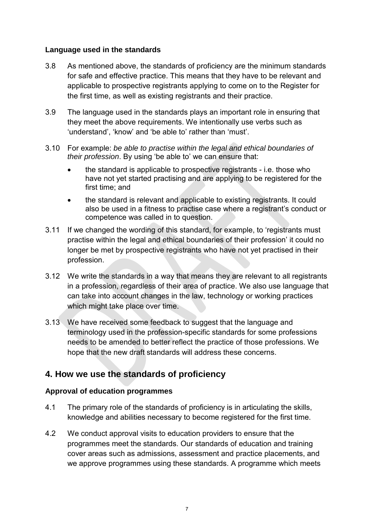#### **Language used in the standards**

- 3.8 As mentioned above, the standards of proficiency are the minimum standards for safe and effective practice. This means that they have to be relevant and applicable to prospective registrants applying to come on to the Register for the first time, as well as existing registrants and their practice.
- 3.9 The language used in the standards plays an important role in ensuring that they meet the above requirements. We intentionally use verbs such as 'understand', 'know' and 'be able to' rather than 'must'.
- 3.10 For example: *be able to practise within the legal and ethical boundaries of their profession*. By using 'be able to' we can ensure that:
	- the standard is applicable to prospective registrants i.e. those who have not yet started practising and are applying to be registered for the first time; and
	- the standard is relevant and applicable to existing registrants. It could also be used in a fitness to practise case where a registrant's conduct or competence was called in to question.
- 3.11 If we changed the wording of this standard, for example, to 'registrants must practise within the legal and ethical boundaries of their profession' it could no longer be met by prospective registrants who have not yet practised in their profession.
- 3.12 We write the standards in a way that means they are relevant to all registrants in a profession, regardless of their area of practice. We also use language that can take into account changes in the law, technology or working practices which might take place over time.
- 3.13 We have received some feedback to suggest that the language and terminology used in the profession-specific standards for some professions needs to be amended to better reflect the practice of those professions. We hope that the new draft standards will address these concerns.

# **4. How we use the standards of proficiency**

### **Approval of education programmes**

- 4.1 The primary role of the standards of proficiency is in articulating the skills, knowledge and abilities necessary to become registered for the first time.
- 4.2 We conduct approval visits to education providers to ensure that the programmes meet the standards. Our standards of education and training cover areas such as admissions, assessment and practice placements, and we approve programmes using these standards. A programme which meets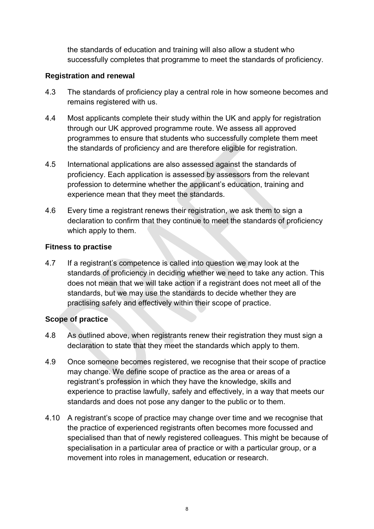the standards of education and training will also allow a student who successfully completes that programme to meet the standards of proficiency.

### **Registration and renewal**

- 4.3 The standards of proficiency play a central role in how someone becomes and remains registered with us.
- 4.4 Most applicants complete their study within the UK and apply for registration through our UK approved programme route. We assess all approved programmes to ensure that students who successfully complete them meet the standards of proficiency and are therefore eligible for registration.
- 4.5 International applications are also assessed against the standards of proficiency. Each application is assessed by assessors from the relevant profession to determine whether the applicant's education, training and experience mean that they meet the standards.
- 4.6 Every time a registrant renews their registration, we ask them to sign a declaration to confirm that they continue to meet the standards of proficiency which apply to them.

## **Fitness to practise**

4.7 If a registrant's competence is called into question we may look at the standards of proficiency in deciding whether we need to take any action. This does not mean that we will take action if a registrant does not meet all of the standards, but we may use the standards to decide whether they are practising safely and effectively within their scope of practice.

# **Scope of practice**

- 4.8 As outlined above, when registrants renew their registration they must sign a declaration to state that they meet the standards which apply to them.
- 4.9 Once someone becomes registered, we recognise that their scope of practice may change. We define scope of practice as the area or areas of a registrant's profession in which they have the knowledge, skills and experience to practise lawfully, safely and effectively, in a way that meets our standards and does not pose any danger to the public or to them.
- 4.10 A registrant's scope of practice may change over time and we recognise that the practice of experienced registrants often becomes more focussed and specialised than that of newly registered colleagues. This might be because of specialisation in a particular area of practice or with a particular group, or a movement into roles in management, education or research.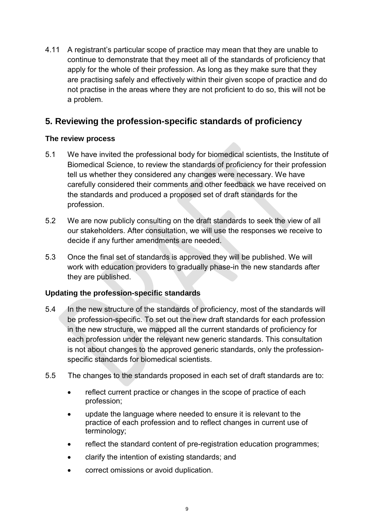4.11 A registrant's particular scope of practice may mean that they are unable to continue to demonstrate that they meet all of the standards of proficiency that apply for the whole of their profession. As long as they make sure that they are practising safely and effectively within their given scope of practice and do not practise in the areas where they are not proficient to do so, this will not be a problem.

# **5. Reviewing the profession-specific standards of proficiency**

# **The review process**

- 5.1 We have invited the professional body for biomedical scientists, the Institute of Biomedical Science, to review the standards of proficiency for their profession tell us whether they considered any changes were necessary. We have carefully considered their comments and other feedback we have received on the standards and produced a proposed set of draft standards for the profession.
- 5.2 We are now publicly consulting on the draft standards to seek the view of all our stakeholders. After consultation, we will use the responses we receive to decide if any further amendments are needed.
- 5.3 Once the final set of standards is approved they will be published. We will work with education providers to gradually phase-in the new standards after they are published.

# **Updating the profession-specific standards**

- 5.4 In the new structure of the standards of proficiency, most of the standards will be profession-specific. To set out the new draft standards for each profession in the new structure, we mapped all the current standards of proficiency for each profession under the relevant new generic standards. This consultation is not about changes to the approved generic standards, only the professionspecific standards for biomedical scientists.
- 5.5 The changes to the standards proposed in each set of draft standards are to:
	- reflect current practice or changes in the scope of practice of each profession;
	- update the language where needed to ensure it is relevant to the practice of each profession and to reflect changes in current use of terminology;
	- reflect the standard content of pre-registration education programmes:
	- clarify the intention of existing standards; and
	- correct omissions or avoid duplication.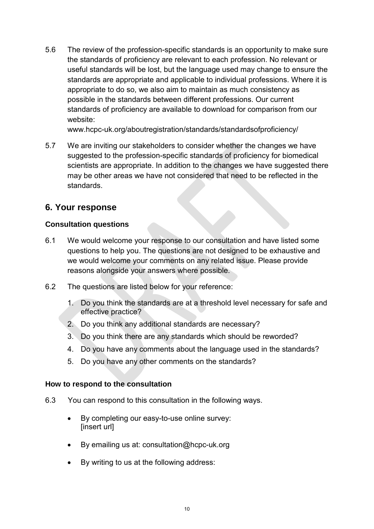5.6 The review of the profession-specific standards is an opportunity to make sure the standards of proficiency are relevant to each profession. No relevant or useful standards will be lost, but the language used may change to ensure the standards are appropriate and applicable to individual professions. Where it is appropriate to do so, we also aim to maintain as much consistency as possible in the standards between different professions. Our current standards of proficiency are available to download for comparison from our website:

www.hcpc-uk.org/aboutregistration/standards/standardsofproficiency/

5.7 We are inviting our stakeholders to consider whether the changes we have suggested to the profession-specific standards of proficiency for biomedical scientists are appropriate. In addition to the changes we have suggested there may be other areas we have not considered that need to be reflected in the standards.

# **6. Your response**

## **Consultation questions**

- 6.1 We would welcome your response to our consultation and have listed some questions to help you. The questions are not designed to be exhaustive and we would welcome your comments on any related issue. Please provide reasons alongside your answers where possible.
- 6.2 The questions are listed below for your reference:
	- 1. Do you think the standards are at a threshold level necessary for safe and effective practice?
	- 2. Do you think any additional standards are necessary?
	- 3. Do you think there are any standards which should be reworded?
	- 4. Do you have any comments about the language used in the standards?
	- 5. Do you have any other comments on the standards?

### **How to respond to the consultation**

- 6.3 You can respond to this consultation in the following ways.
	- By completing our easy-to-use online survey: [insert url]
	- By emailing us at: consultation@hcpc-uk.org
	- By writing to us at the following address: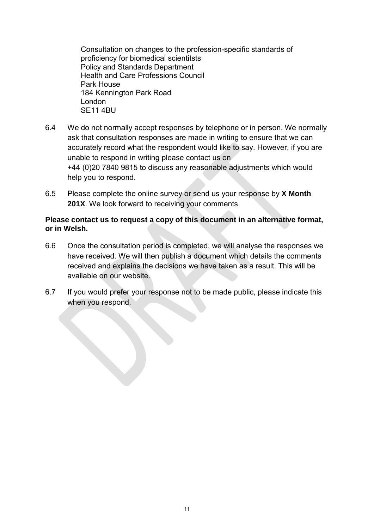Consultation on changes to the profession-specific standards of proficiency for biomedical scientitsts Policy and Standards Department Health and Care Professions Council Park House 184 Kennington Park Road London SE11 4BU

- 6.4 We do not normally accept responses by telephone or in person. We normally ask that consultation responses are made in writing to ensure that we can accurately record what the respondent would like to say. However, if you are unable to respond in writing please contact us on +44 (0)20 7840 9815 to discuss any reasonable adjustments which would help you to respond.
- 6.5 Please complete the online survey or send us your response by **X Month 201X**. We look forward to receiving your comments.

#### **Please contact us to request a copy of this document in an alternative format, or in Welsh.**

- 6.6 Once the consultation period is completed, we will analyse the responses we have received. We will then publish a document which details the comments received and explains the decisions we have taken as a result. This will be available on our website.
- 6.7 If you would prefer your response not to be made public, please indicate this when you respond.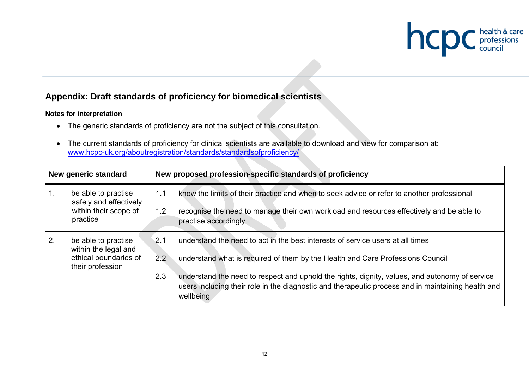

# **Appendix: Draft standards of proficiency for biomedical scientists**

#### **Notes for interpretation**

- The generic standards of proficiency are not the subject of this consultation.
- The current standards of proficiency for clinical scientists are available to download and view for comparison at: www.hcpc-uk.org/aboutregistration/standards/standardsofproficiency/

| New generic standard                           |                                               |     | New proposed profession-specific standards of proficiency                                                                                                                                                         |
|------------------------------------------------|-----------------------------------------------|-----|-------------------------------------------------------------------------------------------------------------------------------------------------------------------------------------------------------------------|
|                                                | be able to practise<br>safely and effectively | 1.1 | know the limits of their practice and when to seek advice or refer to another professional                                                                                                                        |
| within their scope of<br>practice              |                                               | 1.2 | recognise the need to manage their own workload and resources effectively and be able to<br>practise accordingly                                                                                                  |
| 2.<br>within the legal and<br>their profession | be able to practise                           | 2.1 | understand the need to act in the best interests of service users at all times                                                                                                                                    |
|                                                | ethical boundaries of                         | 2.2 | understand what is required of them by the Health and Care Professions Council                                                                                                                                    |
|                                                |                                               | 2.3 | understand the need to respect and uphold the rights, dignity, values, and autonomy of service<br>users including their role in the diagnostic and therapeutic process and in maintaining health and<br>wellbeing |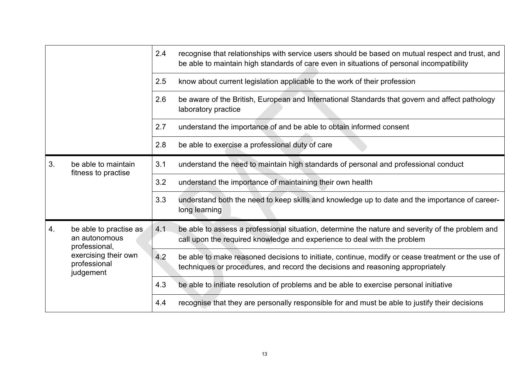|    |                                                                                                               | 2.4 | recognise that relationships with service users should be based on mutual respect and trust, and<br>be able to maintain high standards of care even in situations of personal incompatibility |
|----|---------------------------------------------------------------------------------------------------------------|-----|-----------------------------------------------------------------------------------------------------------------------------------------------------------------------------------------------|
|    |                                                                                                               | 2.5 | know about current legislation applicable to the work of their profession                                                                                                                     |
|    |                                                                                                               | 2.6 | be aware of the British, European and International Standards that govern and affect pathology<br>laboratory practice                                                                         |
|    |                                                                                                               | 2.7 | understand the importance of and be able to obtain informed consent                                                                                                                           |
|    |                                                                                                               | 2.8 | be able to exercise a professional duty of care                                                                                                                                               |
| 3. | be able to maintain                                                                                           | 3.1 | understand the need to maintain high standards of personal and professional conduct                                                                                                           |
|    | fitness to practise                                                                                           | 3.2 | understand the importance of maintaining their own health                                                                                                                                     |
|    |                                                                                                               | 3.3 | understand both the need to keep skills and knowledge up to date and the importance of career-<br>long learning                                                                               |
| 4. | be able to practise as<br>an autonomous<br>professional,<br>exercising their own<br>professional<br>judgement | 4.1 | be able to assess a professional situation, determine the nature and severity of the problem and<br>call upon the required knowledge and experience to deal with the problem                  |
|    |                                                                                                               | 4.2 | be able to make reasoned decisions to initiate, continue, modify or cease treatment or the use of<br>techniques or procedures, and record the decisions and reasoning appropriately           |
|    |                                                                                                               | 4.3 | be able to initiate resolution of problems and be able to exercise personal initiative                                                                                                        |
|    |                                                                                                               | 4.4 | recognise that they are personally responsible for and must be able to justify their decisions                                                                                                |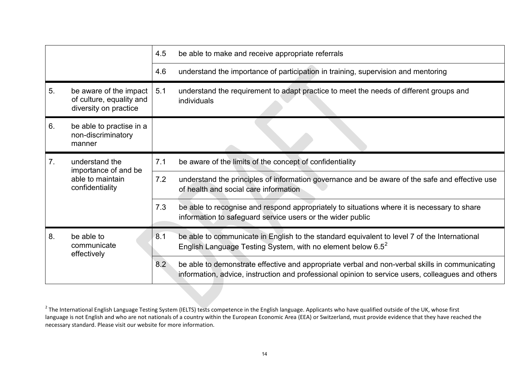|                |                                                                             | 4.5 | be able to make and receive appropriate referrals                                                                                                                                                   |
|----------------|-----------------------------------------------------------------------------|-----|-----------------------------------------------------------------------------------------------------------------------------------------------------------------------------------------------------|
|                |                                                                             | 4.6 | understand the importance of participation in training, supervision and mentoring                                                                                                                   |
| 5.             | be aware of the impact<br>of culture, equality and<br>diversity on practice | 5.1 | understand the requirement to adapt practice to meet the needs of different groups and<br>individuals                                                                                               |
| 6.             | be able to practise in a<br>non-discriminatory<br>manner                    |     |                                                                                                                                                                                                     |
| 7 <sub>1</sub> | understand the<br>importance of and be                                      | 7.1 | be aware of the limits of the concept of confidentiality                                                                                                                                            |
|                | able to maintain<br>confidentiality                                         | 7.2 | understand the principles of information governance and be aware of the safe and effective use<br>of health and social care information                                                             |
|                |                                                                             | 7.3 | be able to recognise and respond appropriately to situations where it is necessary to share<br>information to safeguard service users or the wider public                                           |
| 8.             | be able to<br>communicate<br>effectively                                    | 8.1 | be able to communicate in English to the standard equivalent to level 7 of the International<br>English Language Testing System, with no element below $6.5^2$                                      |
|                |                                                                             | 8.2 | be able to demonstrate effective and appropriate verbal and non-verbal skills in communicating<br>information, advice, instruction and professional opinion to service users, colleagues and others |

 $^{2}$  The International English Language Testing System (IELTS) tests competence in the English language. Applicants who have qualified outside of the UK, whose first language is not English and who are not nationals of a country within the European Economic Area (EEA) or Switzerland, must provide evidence that they have reached the necessary standard. Please visit our website for more information.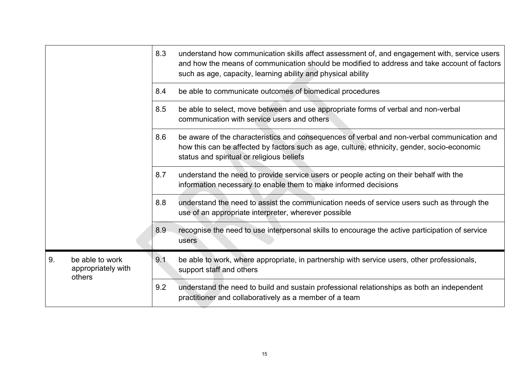|    |                                                 | 8.3 | understand how communication skills affect assessment of, and engagement with, service users<br>and how the means of communication should be modified to address and take account of factors<br>such as age, capacity, learning ability and physical ability |
|----|-------------------------------------------------|-----|--------------------------------------------------------------------------------------------------------------------------------------------------------------------------------------------------------------------------------------------------------------|
|    |                                                 | 8.4 | be able to communicate outcomes of biomedical procedures                                                                                                                                                                                                     |
|    |                                                 | 8.5 | be able to select, move between and use appropriate forms of verbal and non-verbal<br>communication with service users and others                                                                                                                            |
|    |                                                 | 8.6 | be aware of the characteristics and consequences of verbal and non-verbal communication and<br>how this can be affected by factors such as age, culture, ethnicity, gender, socio-economic<br>status and spiritual or religious beliefs                      |
|    |                                                 | 8.7 | understand the need to provide service users or people acting on their behalf with the<br>information necessary to enable them to make informed decisions                                                                                                    |
|    |                                                 | 8.8 | understand the need to assist the communication needs of service users such as through the<br>use of an appropriate interpreter, wherever possible                                                                                                           |
|    |                                                 | 8.9 | recognise the need to use interpersonal skills to encourage the active participation of service<br>users                                                                                                                                                     |
| 9. | be able to work<br>appropriately with<br>others | 9.1 | be able to work, where appropriate, in partnership with service users, other professionals,<br>support staff and others                                                                                                                                      |
|    |                                                 | 9.2 | understand the need to build and sustain professional relationships as both an independent<br>practitioner and collaboratively as a member of a team                                                                                                         |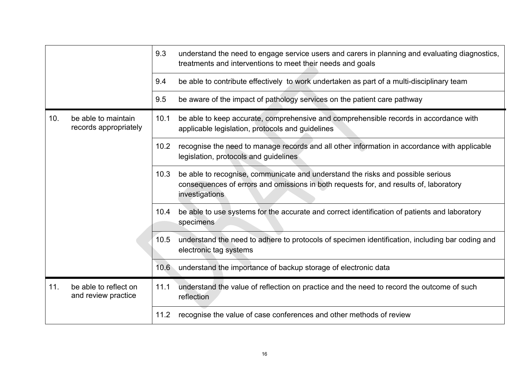|     |                                              | 9.3  | understand the need to engage service users and carers in planning and evaluating diagnostics,<br>treatments and interventions to meet their needs and goals                               |
|-----|----------------------------------------------|------|--------------------------------------------------------------------------------------------------------------------------------------------------------------------------------------------|
|     |                                              | 9.4  | be able to contribute effectively to work undertaken as part of a multi-disciplinary team                                                                                                  |
|     |                                              | 9.5  | be aware of the impact of pathology services on the patient care pathway                                                                                                                   |
| 10. | be able to maintain<br>records appropriately | 10.1 | be able to keep accurate, comprehensive and comprehensible records in accordance with<br>applicable legislation, protocols and guidelines                                                  |
|     |                                              | 10.2 | recognise the need to manage records and all other information in accordance with applicable<br>legislation, protocols and guidelines                                                      |
|     |                                              | 10.3 | be able to recognise, communicate and understand the risks and possible serious<br>consequences of errors and omissions in both requests for, and results of, laboratory<br>investigations |
|     |                                              | 10.4 | be able to use systems for the accurate and correct identification of patients and laboratory<br>specimens                                                                                 |
|     |                                              | 10.5 | understand the need to adhere to protocols of specimen identification, including bar coding and<br>electronic tag systems                                                                  |
|     |                                              | 10.6 | understand the importance of backup storage of electronic data                                                                                                                             |
| 11. | be able to reflect on<br>and review practice | 11.1 | understand the value of reflection on practice and the need to record the outcome of such<br>reflection                                                                                    |
|     |                                              | 11.2 | recognise the value of case conferences and other methods of review                                                                                                                        |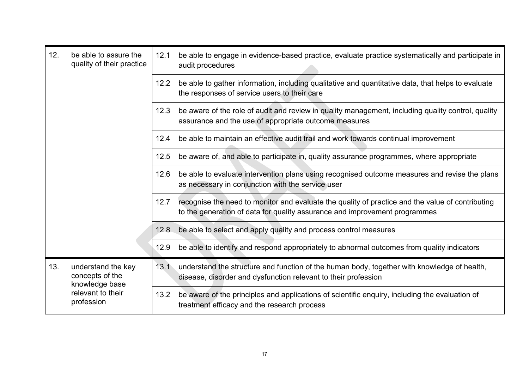| 12. | be able to assure the<br>quality of their practice                                         | 12.1 | be able to engage in evidence-based practice, evaluate practice systematically and participate in<br>audit procedures                                                          |
|-----|--------------------------------------------------------------------------------------------|------|--------------------------------------------------------------------------------------------------------------------------------------------------------------------------------|
|     |                                                                                            | 12.2 | be able to gather information, including qualitative and quantitative data, that helps to evaluate<br>the responses of service users to their care                             |
|     |                                                                                            | 12.3 | be aware of the role of audit and review in quality management, including quality control, quality<br>assurance and the use of appropriate outcome measures                    |
|     |                                                                                            | 12.4 | be able to maintain an effective audit trail and work towards continual improvement                                                                                            |
|     |                                                                                            | 12.5 | be aware of, and able to participate in, quality assurance programmes, where appropriate                                                                                       |
|     |                                                                                            | 12.6 | be able to evaluate intervention plans using recognised outcome measures and revise the plans<br>as necessary in conjunction with the service user                             |
|     |                                                                                            | 12.7 | recognise the need to monitor and evaluate the quality of practice and the value of contributing<br>to the generation of data for quality assurance and improvement programmes |
|     |                                                                                            | 12.8 | be able to select and apply quality and process control measures                                                                                                               |
|     |                                                                                            | 12.9 | be able to identify and respond appropriately to abnormal outcomes from quality indicators                                                                                     |
| 13. | understand the key<br>concepts of the<br>knowledge base<br>relevant to their<br>profession |      | 13.1 understand the structure and function of the human body, together with knowledge of health,<br>disease, disorder and dysfunction relevant to their profession             |
|     |                                                                                            | 13.2 | be aware of the principles and applications of scientific enquiry, including the evaluation of<br>treatment efficacy and the research process                                  |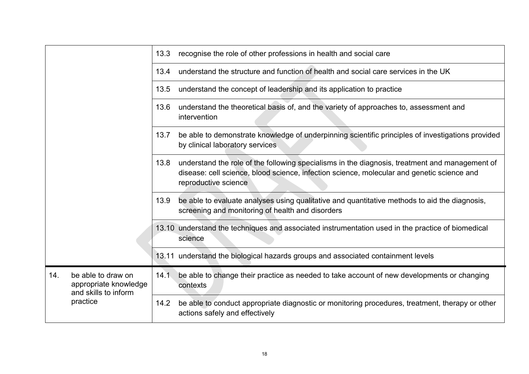|     |                                                                                 | 13.3 | recognise the role of other professions in health and social care                                                                                                                                                    |
|-----|---------------------------------------------------------------------------------|------|----------------------------------------------------------------------------------------------------------------------------------------------------------------------------------------------------------------------|
|     |                                                                                 | 13.4 | understand the structure and function of health and social care services in the UK                                                                                                                                   |
|     |                                                                                 | 13.5 | understand the concept of leadership and its application to practice                                                                                                                                                 |
|     |                                                                                 | 13.6 | understand the theoretical basis of, and the variety of approaches to, assessment and<br>intervention                                                                                                                |
|     |                                                                                 | 13.7 | be able to demonstrate knowledge of underpinning scientific principles of investigations provided<br>by clinical laboratory services                                                                                 |
|     |                                                                                 | 13.8 | understand the role of the following specialisms in the diagnosis, treatment and management of<br>disease: cell science, blood science, infection science, molecular and genetic science and<br>reproductive science |
|     |                                                                                 | 13.9 | be able to evaluate analyses using qualitative and quantitative methods to aid the diagnosis,<br>screening and monitoring of health and disorders                                                                    |
|     |                                                                                 |      | 13.10 understand the techniques and associated instrumentation used in the practice of biomedical<br>science                                                                                                         |
|     |                                                                                 |      | 13.11 understand the biological hazards groups and associated containment levels                                                                                                                                     |
| 14. | be able to draw on<br>appropriate knowledge<br>and skills to inform<br>practice | 14.1 | be able to change their practice as needed to take account of new developments or changing<br>contexts                                                                                                               |
|     |                                                                                 | 14.2 | be able to conduct appropriate diagnostic or monitoring procedures, treatment, therapy or other<br>actions safely and effectively                                                                                    |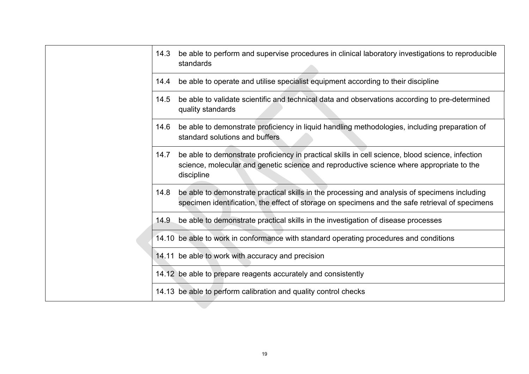|      | 14.3 be able to perform and supervise procedures in clinical laboratory investigations to reproducible<br>standards                                                                                        |
|------|------------------------------------------------------------------------------------------------------------------------------------------------------------------------------------------------------------|
| 14.4 | be able to operate and utilise specialist equipment according to their discipline                                                                                                                          |
| 14.5 | be able to validate scientific and technical data and observations according to pre-determined<br>quality standards                                                                                        |
| 14.6 | be able to demonstrate proficiency in liquid handling methodologies, including preparation of<br>standard solutions and buffers                                                                            |
| 14.7 | be able to demonstrate proficiency in practical skills in cell science, blood science, infection<br>science, molecular and genetic science and reproductive science where appropriate to the<br>discipline |
| 14.8 | be able to demonstrate practical skills in the processing and analysis of specimens including<br>specimen identification, the effect of storage on specimens and the safe retrieval of specimens           |
| 14.9 | be able to demonstrate practical skills in the investigation of disease processes                                                                                                                          |
|      | 14.10 be able to work in conformance with standard operating procedures and conditions                                                                                                                     |
|      | 14.11 be able to work with accuracy and precision                                                                                                                                                          |
|      | 14.12 be able to prepare reagents accurately and consistently                                                                                                                                              |
|      | 14.13 be able to perform calibration and quality control checks                                                                                                                                            |
|      |                                                                                                                                                                                                            |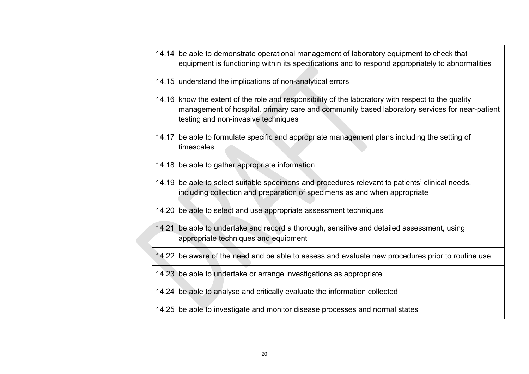| 14.14 be able to demonstrate operational management of laboratory equipment to check that<br>equipment is functioning within its specifications and to respond appropriately to abnormalities                                              |
|--------------------------------------------------------------------------------------------------------------------------------------------------------------------------------------------------------------------------------------------|
| 14.15 understand the implications of non-analytical errors                                                                                                                                                                                 |
| 14.16 know the extent of the role and responsibility of the laboratory with respect to the quality<br>management of hospital, primary care and community based laboratory services for near-patient<br>testing and non-invasive techniques |
| 14.17 be able to formulate specific and appropriate management plans including the setting of<br>timescales                                                                                                                                |
| 14.18 be able to gather appropriate information                                                                                                                                                                                            |
| 14.19 be able to select suitable specimens and procedures relevant to patients' clinical needs,<br>including collection and preparation of specimens as and when appropriate                                                               |
| 14.20 be able to select and use appropriate assessment techniques                                                                                                                                                                          |
| 14.21 be able to undertake and record a thorough, sensitive and detailed assessment, using<br>appropriate techniques and equipment                                                                                                         |
| 14.22 be aware of the need and be able to assess and evaluate new procedures prior to routine use                                                                                                                                          |
| 14.23 be able to undertake or arrange investigations as appropriate                                                                                                                                                                        |
| 14.24 be able to analyse and critically evaluate the information collected                                                                                                                                                                 |
| 14.25 be able to investigate and monitor disease processes and normal states                                                                                                                                                               |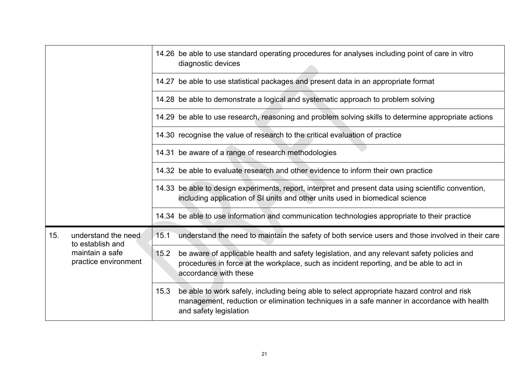|     |                                         | 14.26 be able to use standard operating procedures for analyses including point of care in vitro<br>diagnostic devices                                                                                                     |
|-----|-----------------------------------------|----------------------------------------------------------------------------------------------------------------------------------------------------------------------------------------------------------------------------|
|     |                                         | 14.27 be able to use statistical packages and present data in an appropriate format                                                                                                                                        |
|     |                                         | 14.28 be able to demonstrate a logical and systematic approach to problem solving                                                                                                                                          |
|     |                                         | 14.29 be able to use research, reasoning and problem solving skills to determine appropriate actions                                                                                                                       |
|     |                                         | 14.30 recognise the value of research to the critical evaluation of practice                                                                                                                                               |
|     |                                         | 14.31 be aware of a range of research methodologies                                                                                                                                                                        |
|     |                                         | 14.32 be able to evaluate research and other evidence to inform their own practice                                                                                                                                         |
|     |                                         | 14.33 be able to design experiments, report, interpret and present data using scientific convention,<br>including application of SI units and other units used in biomedical science                                       |
|     |                                         | 14.34 be able to use information and communication technologies appropriate to their practice                                                                                                                              |
| 15. | understand the need<br>to establish and | understand the need to maintain the safety of both service users and those involved in their care<br>15.1                                                                                                                  |
|     | maintain a safe<br>practice environment | be aware of applicable health and safety legislation, and any relevant safety policies and<br>15.2<br>procedures in force at the workplace, such as incident reporting, and be able to act in<br>accordance with these     |
|     |                                         | be able to work safely, including being able to select appropriate hazard control and risk<br>15.3<br>management, reduction or elimination techniques in a safe manner in accordance with health<br>and safety legislation |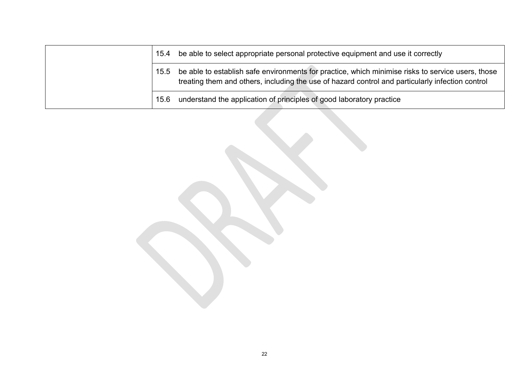| 15.4 | be able to select appropriate personal protective equipment and use it correctly                                                                                                                      |
|------|-------------------------------------------------------------------------------------------------------------------------------------------------------------------------------------------------------|
| 15.5 | be able to establish safe environments for practice, which minimise risks to service users, those<br>treating them and others, including the use of hazard control and particularly infection control |
| 15.6 | understand the application of principles of good laboratory practice                                                                                                                                  |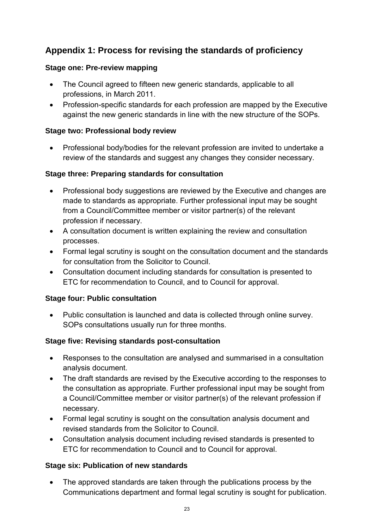# **Appendix 1: Process for revising the standards of proficiency**

## **Stage one: Pre-review mapping**

- The Council agreed to fifteen new generic standards, applicable to all professions, in March 2011.
- Profession-specific standards for each profession are mapped by the Executive against the new generic standards in line with the new structure of the SOPs.

## **Stage two: Professional body review**

• Professional body/bodies for the relevant profession are invited to undertake a review of the standards and suggest any changes they consider necessary.

## **Stage three: Preparing standards for consultation**

- Professional body suggestions are reviewed by the Executive and changes are made to standards as appropriate. Further professional input may be sought from a Council/Committee member or visitor partner(s) of the relevant profession if necessary.
- A consultation document is written explaining the review and consultation processes.
- Formal legal scrutiny is sought on the consultation document and the standards for consultation from the Solicitor to Council.
- Consultation document including standards for consultation is presented to ETC for recommendation to Council, and to Council for approval.

### **Stage four: Public consultation**

• Public consultation is launched and data is collected through online survey. SOPs consultations usually run for three months.

# **Stage five: Revising standards post-consultation**

- Responses to the consultation are analysed and summarised in a consultation analysis document.
- The draft standards are revised by the Executive according to the responses to the consultation as appropriate. Further professional input may be sought from a Council/Committee member or visitor partner(s) of the relevant profession if necessary.
- Formal legal scrutiny is sought on the consultation analysis document and revised standards from the Solicitor to Council.
- Consultation analysis document including revised standards is presented to ETC for recommendation to Council and to Council for approval.

# **Stage six: Publication of new standards**

The approved standards are taken through the publications process by the Communications department and formal legal scrutiny is sought for publication.